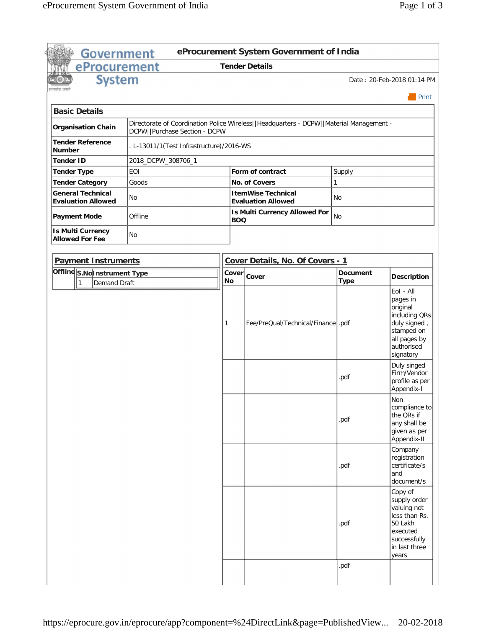| <b>Government</b>                                     |                                                                                                                          |           |            | eProcurement System Government of India                |                 |                                                                                                                          |
|-------------------------------------------------------|--------------------------------------------------------------------------------------------------------------------------|-----------|------------|--------------------------------------------------------|-----------------|--------------------------------------------------------------------------------------------------------------------------|
| eProcurement                                          |                                                                                                                          |           |            | <b>Tender Details</b>                                  |                 |                                                                                                                          |
| <b>System</b>                                         |                                                                                                                          |           |            |                                                        |                 | Date: 20-Feb-2018 01:14 PM                                                                                               |
|                                                       |                                                                                                                          |           |            |                                                        |                 | $\blacksquare$ Print                                                                                                     |
| <b>Basic Details</b>                                  |                                                                                                                          |           |            |                                                        |                 |                                                                                                                          |
| <b>Organisation Chain</b>                             | Directorate of Coordination Police Wireless  Headquarters - DCPW  Material Management -<br>DCPW  Purchase Section - DCPW |           |            |                                                        |                 |                                                                                                                          |
| <b>Tender Reference</b><br><b>Number</b>              | . L-13011/1(Test Infrastructure)/2016-WS                                                                                 |           |            |                                                        |                 |                                                                                                                          |
| <b>Tender ID</b>                                      | 2018_DCPW_308706_1                                                                                                       |           |            |                                                        |                 |                                                                                                                          |
| <b>Tender Type</b>                                    | <b>EOI</b>                                                                                                               |           |            | Form of contract                                       | Supply          |                                                                                                                          |
| <b>Tender Category</b>                                | Goods                                                                                                                    |           |            | No. of Covers                                          | 1               |                                                                                                                          |
| <b>General Technical</b><br><b>Evaluation Allowed</b> | No                                                                                                                       |           |            | <b>ItemWise Technical</b><br><b>Evaluation Allowed</b> | No              |                                                                                                                          |
| <b>Payment Mode</b>                                   | Offline                                                                                                                  |           | <b>BOQ</b> | <b>Is Multi Currency Allowed For</b>                   | <b>No</b>       |                                                                                                                          |
| <b>Is Multi Currency</b><br><b>Allowed For Fee</b>    | <b>No</b>                                                                                                                |           |            |                                                        |                 |                                                                                                                          |
| <b>Payment Instruments</b>                            |                                                                                                                          |           |            | Cover Details, No. Of Covers - 1                       |                 |                                                                                                                          |
| Offline S.No Instrument Type                          |                                                                                                                          | Cover     |            |                                                        | <b>Document</b> |                                                                                                                          |
| l 1<br><b>Demand Draft</b>                            |                                                                                                                          | <b>No</b> |            | Cover                                                  | <b>Type</b>     | <b>Description</b>                                                                                                       |
|                                                       |                                                                                                                          | 1         |            | Fee/PreQual/Technical/Finance  .pdf                    |                 | pages in<br>original<br>including QRs<br>duly signed,<br>stamped on<br>all pages by<br>authorised<br>signatory           |
|                                                       |                                                                                                                          |           |            |                                                        | .pdf            | Duly singed<br>Firm/Vendor<br>profile as per<br>Appendix-I                                                               |
|                                                       |                                                                                                                          |           |            |                                                        | .pdf            | Non<br>compliance to<br>the QRs if<br>any shall be<br>given as per<br>Appendix-II                                        |
|                                                       |                                                                                                                          |           |            |                                                        | .pdf            | Company<br>registration<br>certificate/s<br>and<br>document/s                                                            |
|                                                       |                                                                                                                          |           |            |                                                        | .pdf            | Copy of<br>supply order<br>valuing not<br>less than Rs.<br>50 Lakh<br>executed<br>successfully<br>in last three<br>years |
|                                                       |                                                                                                                          |           |            |                                                        | .pdf            |                                                                                                                          |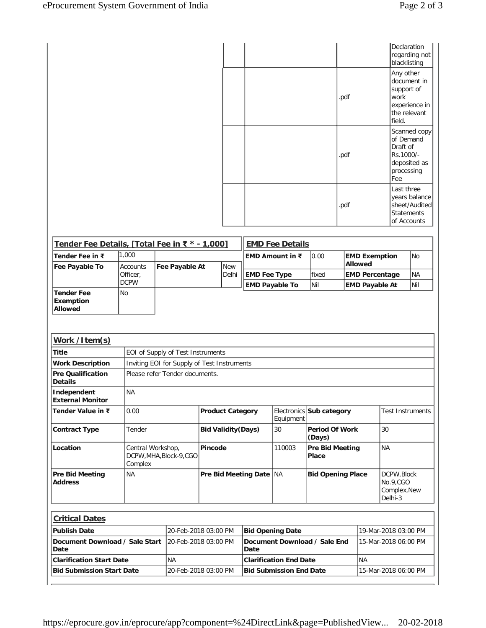|  |      | Declaration<br>regarding not<br>blacklisting                                              |
|--|------|-------------------------------------------------------------------------------------------|
|  | .pdf | Any other<br>document in<br>support of<br>work<br>experience in<br>the relevant<br>field. |
|  | .pdf | Scanned copy<br>of Demand<br>Draft of<br>Rs.1000/-<br>deposited as<br>processing<br>Fee   |
|  | .pdf | Last three<br>years balance<br>sheet/Audited<br><b>Statements</b><br>of Accounts          |

| Tender Fee Details, [Total Fee in ₹ * - 1,000]          |                              |                                             |                            |            |                                              | <b>EMD Fee Details</b>         |                                              |                                                |                                                   |                  |
|---------------------------------------------------------|------------------------------|---------------------------------------------|----------------------------|------------|----------------------------------------------|--------------------------------|----------------------------------------------|------------------------------------------------|---------------------------------------------------|------------------|
| Tender Fee in ₹                                         | 1.000                        |                                             |                            |            |                                              | EMD Amount in ₹                | 0.00                                         | <b>EMD Exemption</b>                           |                                                   | N <sub>O</sub>   |
| Fee Payable To                                          | <b>Accounts</b>              | Fee Payable At                              |                            | <b>New</b> |                                              |                                |                                              | <b>Allowed</b>                                 |                                                   |                  |
|                                                         | Officer.<br><b>DCPW</b>      |                                             |                            | Delhi      | <b>EMD Fee Type</b><br><b>EMD Payable To</b> |                                | fixed<br>Nil                                 | <b>EMD Percentage</b><br><b>EMD Payable At</b> |                                                   | <b>NA</b><br>Nil |
| <b>Tender Fee</b><br><b>Exemption</b><br><b>Allowed</b> | <b>No</b>                    |                                             |                            |            |                                              |                                |                                              |                                                |                                                   |                  |
| Work /Item(s)                                           |                              |                                             |                            |            |                                              |                                |                                              |                                                |                                                   |                  |
| <b>Title</b>                                            |                              | EOI of Supply of Test Instruments           |                            |            |                                              |                                |                                              |                                                |                                                   |                  |
| <b>Work Description</b>                                 |                              | Inviting EOI for Supply of Test Instruments |                            |            |                                              |                                |                                              |                                                |                                                   |                  |
| <b>Pre Qualification</b><br>Details                     |                              | Please refer Tender documents.              |                            |            |                                              |                                |                                              |                                                |                                                   |                  |
| Independent<br><b>External Monitor</b>                  | <b>NA</b>                    |                                             |                            |            |                                              |                                |                                              |                                                |                                                   |                  |
| Tender Value in ₹                                       | 0.00                         |                                             | <b>Product Category</b>    |            |                                              | Equipment                      | Electronics Sub category                     |                                                | <b>Test Instruments</b>                           |                  |
| <b>Contract Type</b>                                    | Tender                       |                                             | <b>Bid Validity (Days)</b> |            |                                              | 30                             | <b>Period Of Work</b><br>(Days)              |                                                | 30                                                |                  |
| Location                                                | Central Workshop,<br>Complex | DCPW, MHA, Block-9, CGO                     | Pincode                    |            |                                              | 110003                         | <b>NA</b><br><b>Pre Bid Meeting</b><br>Place |                                                |                                                   |                  |
| <b>Pre Bid Meeting</b><br><b>Address</b>                | <b>NA</b>                    |                                             |                            |            | Pre Bid Meeting Date NA                      |                                | <b>Bid Opening Place</b>                     |                                                | DCPW.Block<br>No.9,CGO<br>Complex, New<br>Delhi-3 |                  |
| <b>Critical Dates</b>                                   |                              |                                             |                            |            |                                              |                                |                                              |                                                |                                                   |                  |
| <b>Publish Date</b>                                     |                              | 20-Feb-2018 03:00 PM                        |                            |            | <b>Bid Opening Date</b>                      |                                |                                              |                                                | 19-Mar-2018 03:00 PM                              |                  |
| Document Download / Sale Start<br>Date                  |                              | 20-Feb-2018 03:00 PM                        |                            |            | Date                                         |                                | Document Download / Sale End                 |                                                | 15-Mar-2018 06:00 PM                              |                  |
| <b>Clarification Start Date</b>                         |                              | <b>NA</b>                                   |                            |            |                                              | <b>Clarification End Date</b>  |                                              | <b>NA</b>                                      |                                                   |                  |
| <b>Bid Submission Start Date</b>                        |                              | 20-Feb-2018 03:00 PM                        |                            |            |                                              | <b>Bid Submission End Date</b> |                                              |                                                | 15-Mar-2018 06:00 PM                              |                  |